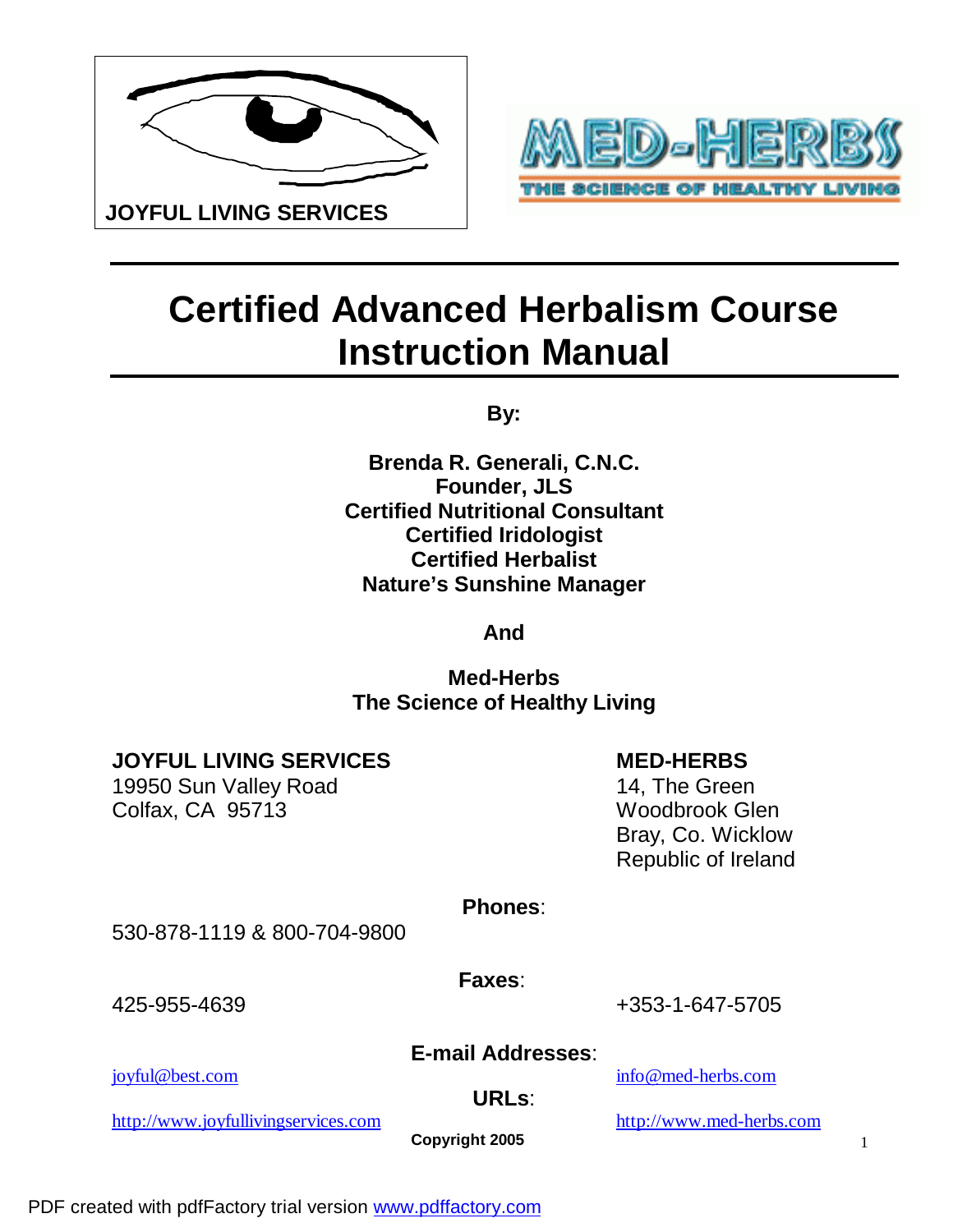



# **Certified Advanced Herbalism Course Instruction Manual**

**By:** 

**Brenda R. Generali, C.N.C. Founder, JLS Certified Nutritional Consultant Certified Iridologist Certified Herbalist Nature's Sunshine Manager**

**And** 

**Med-Herbs The Science of Healthy Living**

**JOYFUL LIVING SERVICES** MED-HERBS

19950 Sun Valley Road 19950 Sun Valley Road 14, The Green Colfax, CA 95713 Woodbrook Glen

 Bray, Co. Wicklow Republic of Ireland

**Phones**:

530-878-1119 & 800-704-9800

 **Faxes**:

425-955-4639 +353-1-647-5705

### **E-mail Addresses**:

[joyful@best.com](mailto:joyful@best.com) [info@med-herbs.com](mailto:info@med-herbs.com)

**URLs**:

<http://www.joyfullivingservices.com> <http://www.med-herbs.com>

**Copyright 2005**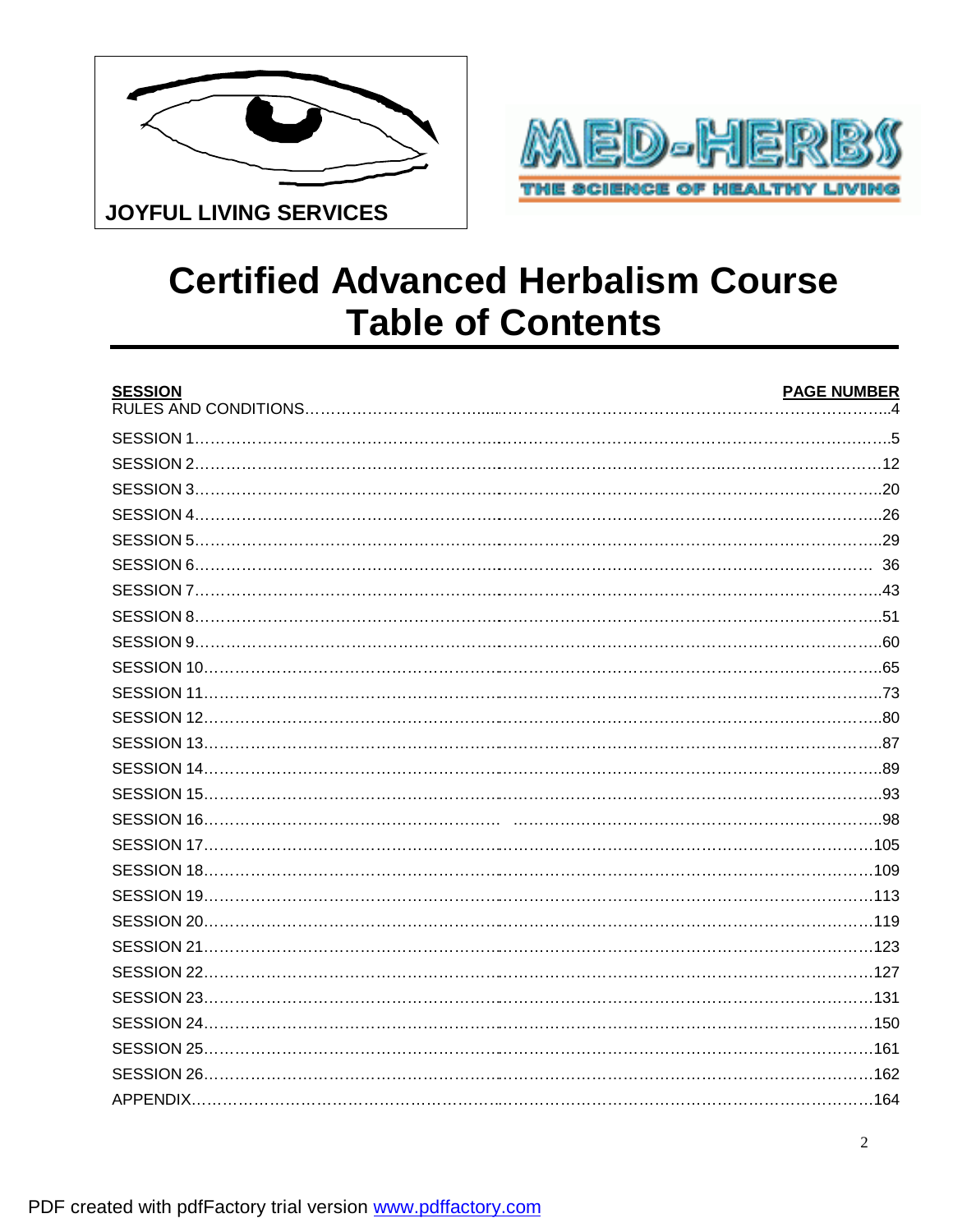



### **Certified Advanced Herbalism Course Table of Contents**

| <b>SESSION</b> | <b>PAGE NUMBER</b> |
|----------------|--------------------|
|                |                    |
|                |                    |
|                |                    |
|                |                    |
|                |                    |
|                |                    |
|                |                    |
|                |                    |
|                |                    |
|                |                    |
|                |                    |
|                |                    |
|                |                    |
|                |                    |
|                |                    |
|                |                    |
|                |                    |
|                |                    |
|                |                    |
|                |                    |
|                |                    |
|                |                    |
|                |                    |
|                |                    |
|                |                    |
|                |                    |
|                |                    |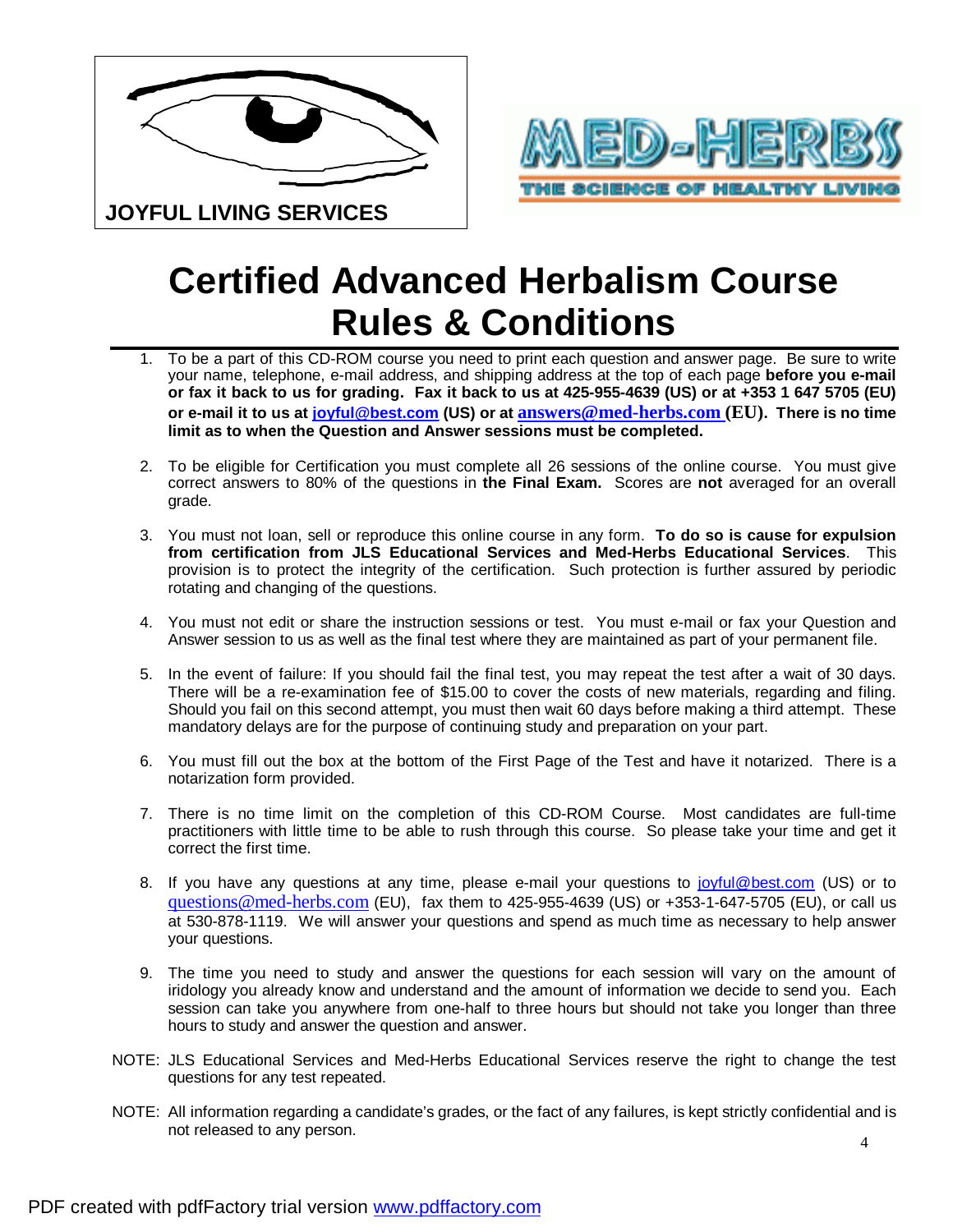



# **Certified Advanced Herbalism Course Rules & Conditions**

- To be a part of this CD-ROM course you need to print each question and answer page. Be sure to write your name, telephone, e-mail address, and shipping address at the top of each page **before you e-mail**  or fax it back to us for grading. Fax it back to us at 425-955-4639 (US) or at +353 1 647 5705 (EU) **or e-mail it to us at [joyful@best.com](mailto:joyful@best.com) (US) or at [answers@med-herbs.com](mailto:answers@med-herbs.com) (EU). There is no time limit as to when the Question and Answer sessions must be completed.**
- 2. To be eligible for Certification you must complete all 26 sessions of the online course. You must give correct answers to 80% of the questions in **the Final Exam.** Scores are **not** averaged for an overall grade.
- 3. You must not loan, sell or reproduce this online course in any form. **To do so is cause for expulsion from certification from JLS Educational Services and Med-Herbs Educational Services**. This provision is to protect the integrity of the certification. Such protection is further assured by periodic rotating and changing of the questions.
- 4. You must not edit or share the instruction sessions or test. You must e-mail or fax your Question and Answer session to us as well as the final test where they are maintained as part of your permanent file.
- 5. In the event of failure: If you should fail the final test, you may repeat the test after a wait of 30 days. There will be a re-examination fee of \$15.00 to cover the costs of new materials, regarding and filing. Should you fail on this second attempt, you must then wait 60 days before making a third attempt. These mandatory delays are for the purpose of continuing study and preparation on your part.
- 6. You must fill out the box at the bottom of the First Page of the Test and have it notarized. There is a notarization form provided.
- 7. There is no time limit on the completion of this CD-ROM Course. Most candidates are full-time practitioners with little time to be able to rush through this course. So please take your time and get it correct the first time.
- 8. If you have any questions at any time, please e-mail your questions to [joyful@best.com](mailto:joyful@best.com) (US) or to [questions@med-herbs.com](mailto:questions@med-herbs.com) (EU), fax them to 425-955-4639 (US) or +353-1-647-5705 (EU), or call us at 530-878-1119. We will answer your questions and spend as much time as necessary to help answer your questions.
- 9. The time you need to study and answer the questions for each session will vary on the amount of iridology you already know and understand and the amount of information we decide to send you. Each session can take you anywhere from one-half to three hours but should not take you longer than three hours to study and answer the question and answer.
- NOTE: JLS Educational Services and Med-Herbs Educational Services reserve the right to change the test questions for any test repeated.
- NOTE: All information regarding a candidate's grades, or the fact of any failures, is kept strictly confidential and is not released to any person.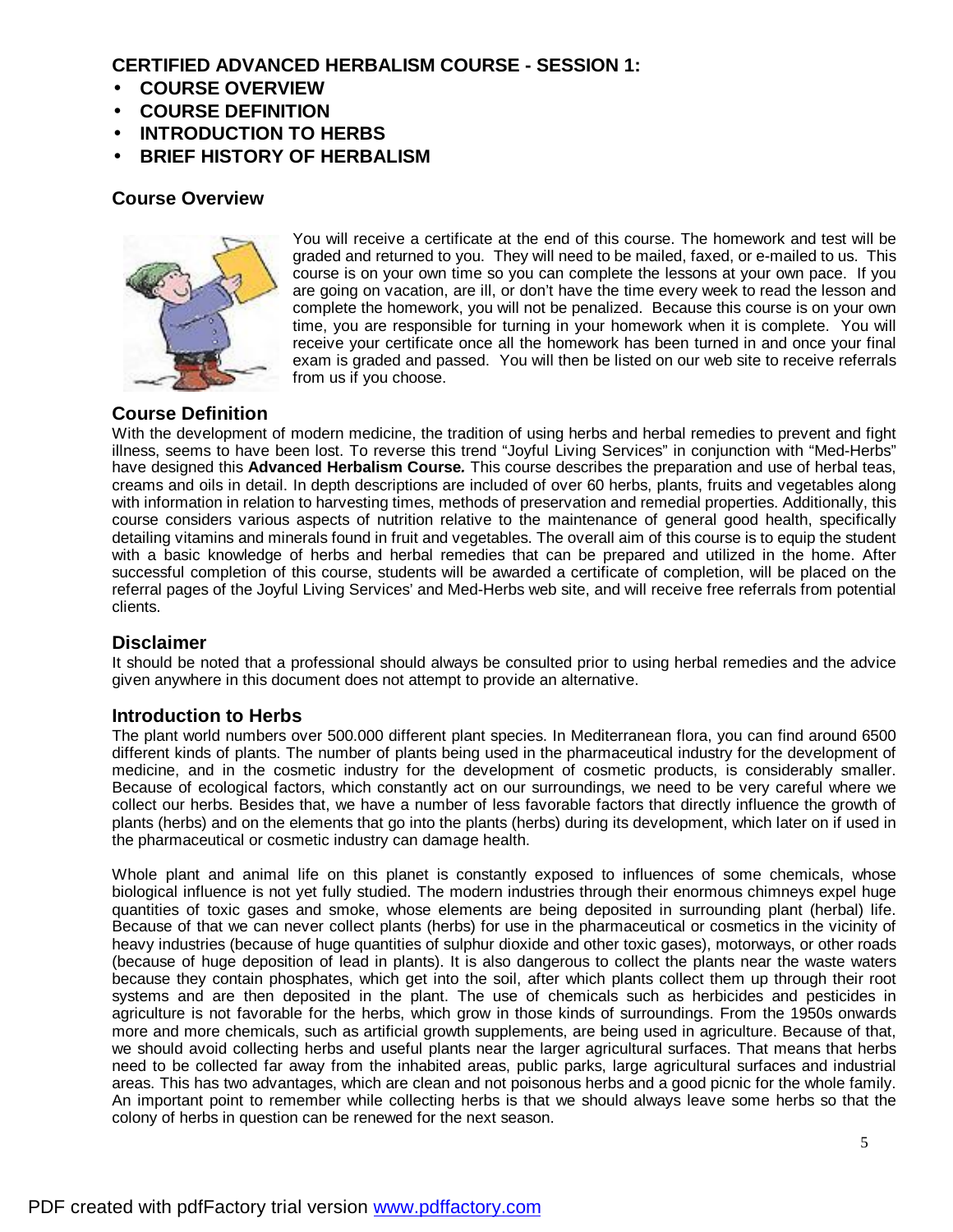#### **CERTIFIED ADVANCED HERBALISM COURSE - SESSION 1:**

- **COURSE OVERVIEW**
- **COURSE DEFINITION**
- **INTRODUCTION TO HERBS**
- **BRIEF HISTORY OF HERBALISM**

#### **Course Overview**



You will receive a certificate at the end of this course. The homework and test will be graded and returned to you. They will need to be mailed, faxed, or e-mailed to us. This course is on your own time so you can complete the lessons at your own pace. If you are going on vacation, are ill, or don't have the time every week to read the lesson and complete the homework, you will not be penalized. Because this course is on your own time, you are responsible for turning in your homework when it is complete. You will receive your certificate once all the homework has been turned in and once your final exam is graded and passed. You will then be listed on our web site to receive referrals from us if you choose.

### **Course Definition**

With the development of modern medicine, the tradition of using herbs and herbal remedies to prevent and fight illness, seems to have been lost. To reverse this trend "Joyful Living Services" in conjunction with "Med-Herbs" have designed this **Advanced Herbalism Course***.* This course describes the preparation and use of herbal teas, creams and oils in detail. In depth descriptions are included of over 60 herbs, plants, fruits and vegetables along with information in relation to harvesting times, methods of preservation and remedial properties. Additionally, this course considers various aspects of nutrition relative to the maintenance of general good health, specifically detailing vitamins and minerals found in fruit and vegetables. The overall aim of this course is to equip the student with a basic knowledge of herbs and herbal remedies that can be prepared and utilized in the home. After successful completion of this course, students will be awarded a certificate of completion, will be placed on the referral pages of the Joyful Living Services' and Med-Herbs web site, and will receive free referrals from potential clients.

#### **Disclaimer**

It should be noted that a professional should always be consulted prior to using herbal remedies and the advice given anywhere in this document does not attempt to provide an alternative.

#### **Introduction to Herbs**

The plant world numbers over 500.000 different plant species. In Mediterranean flora, you can find around 6500 different kinds of plants. The number of plants being used in the pharmaceutical industry for the development of medicine, and in the cosmetic industry for the development of cosmetic products, is considerably smaller. Because of ecological factors, which constantly act on our surroundings, we need to be very careful where we collect our herbs. Besides that, we have a number of less favorable factors that directly influence the growth of plants (herbs) and on the elements that go into the plants (herbs) during its development, which later on if used in the pharmaceutical or cosmetic industry can damage health.

Whole plant and animal life on this planet is constantly exposed to influences of some chemicals, whose biological influence is not yet fully studied. The modern industries through their enormous chimneys expel huge quantities of toxic gases and smoke, whose elements are being deposited in surrounding plant (herbal) life. Because of that we can never collect plants (herbs) for use in the pharmaceutical or cosmetics in the vicinity of heavy industries (because of huge quantities of sulphur dioxide and other toxic gases), motorways, or other roads (because of huge deposition of lead in plants). It is also dangerous to collect the plants near the waste waters because they contain phosphates, which get into the soil, after which plants collect them up through their root systems and are then deposited in the plant. The use of chemicals such as herbicides and pesticides in agriculture is not favorable for the herbs, which grow in those kinds of surroundings. From the 1950s onwards more and more chemicals, such as artificial growth supplements, are being used in agriculture. Because of that, we should avoid collecting herbs and useful plants near the larger agricultural surfaces. That means that herbs need to be collected far away from the inhabited areas, public parks, large agricultural surfaces and industrial areas. This has two advantages, which are clean and not poisonous herbs and a good picnic for the whole family. An important point to remember while collecting herbs is that we should always leave some herbs so that the colony of herbs in question can be renewed for the next season.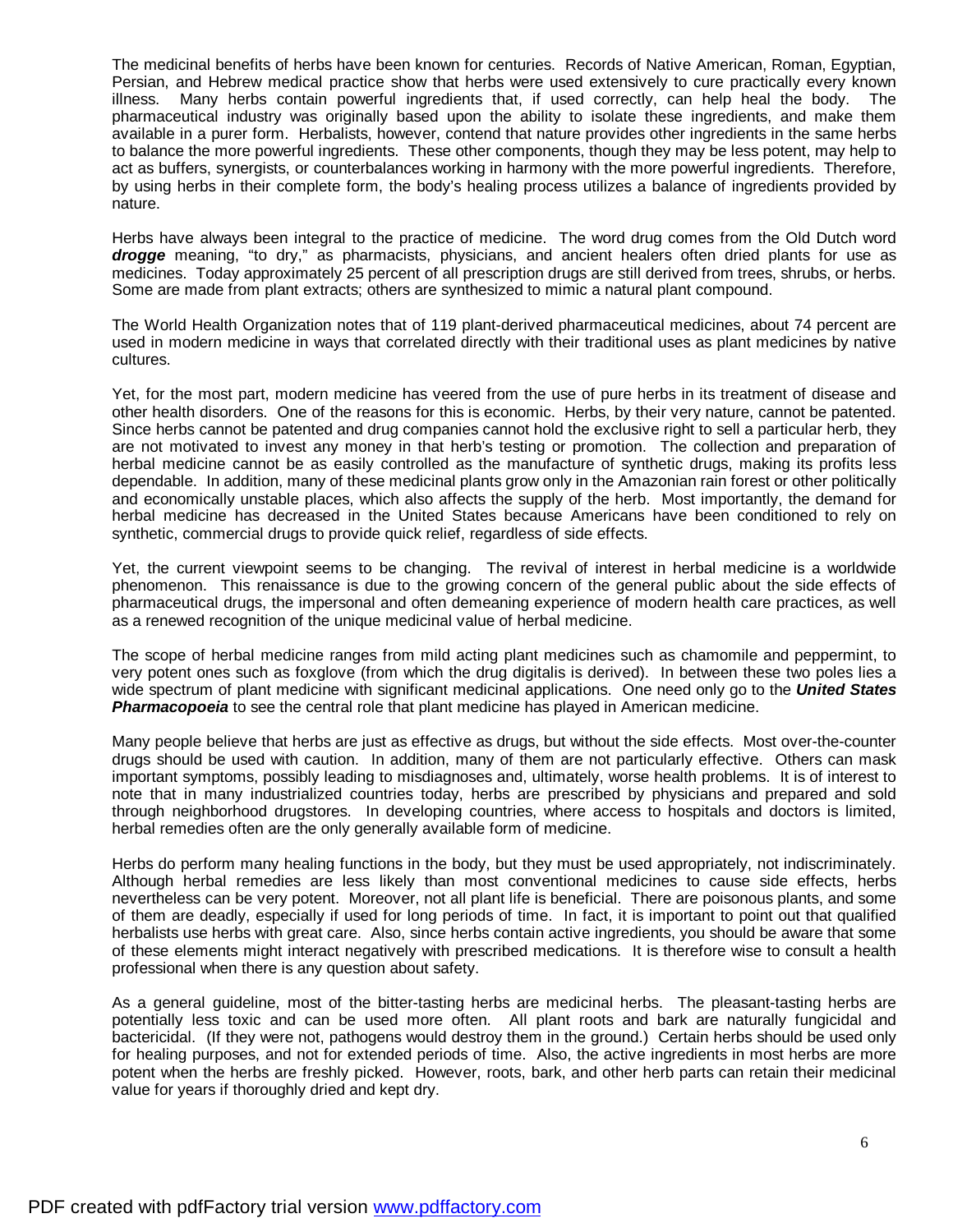The medicinal benefits of herbs have been known for centuries. Records of Native American, Roman, Egyptian, Persian, and Hebrew medical practice show that herbs were used extensively to cure practically every known illness. Many herbs contain powerful ingredients that, if used correctly, can help heal the body. The pharmaceutical industry was originally based upon the ability to isolate these ingredients, and make them available in a purer form. Herbalists, however, contend that nature provides other ingredients in the same herbs to balance the more powerful ingredients. These other components, though they may be less potent, may help to act as buffers, synergists, or counterbalances working in harmony with the more powerful ingredients. Therefore, by using herbs in their complete form, the body's healing process utilizes a balance of ingredients provided by nature.

Herbs have always been integral to the practice of medicine. The word drug comes from the Old Dutch word drogge meaning, "to dry," as pharmacists, physicians, and ancient healers often dried plants for use as medicines. Today approximately 25 percent of all prescription drugs are still derived from trees, shrubs, or herbs. Some are made from plant extracts; others are synthesized to mimic a natural plant compound.

The World Health Organization notes that of 119 plant-derived pharmaceutical medicines, about 74 percent are used in modern medicine in ways that correlated directly with their traditional uses as plant medicines by native cultures.

Yet, for the most part, modern medicine has veered from the use of pure herbs in its treatment of disease and other health disorders. One of the reasons for this is economic. Herbs, by their very nature, cannot be patented. Since herbs cannot be patented and drug companies cannot hold the exclusive right to sell a particular herb, they are not motivated to invest any money in that herb's testing or promotion. The collection and preparation of herbal medicine cannot be as easily controlled as the manufacture of synthetic drugs, making its profits less dependable. In addition, many of these medicinal plants grow only in the Amazonian rain forest or other politically and economically unstable places, which also affects the supply of the herb. Most importantly, the demand for herbal medicine has decreased in the United States because Americans have been conditioned to rely on synthetic, commercial drugs to provide quick relief, regardless of side effects.

Yet, the current viewpoint seems to be changing. The revival of interest in herbal medicine is a worldwide phenomenon. This renaissance is due to the growing concern of the general public about the side effects of pharmaceutical drugs, the impersonal and often demeaning experience of modern health care practices, as well as a renewed recognition of the unique medicinal value of herbal medicine.

The scope of herbal medicine ranges from mild acting plant medicines such as chamomile and peppermint, to very potent ones such as foxglove (from which the drug digitalis is derived). In between these two poles lies a wide spectrum of plant medicine with significant medicinal applications. One need only go to the *United States Pharmacopoeia* to see the central role that plant medicine has played in American medicine.

Many people believe that herbs are just as effective as drugs, but without the side effects. Most over-the-counter drugs should be used with caution. In addition, many of them are not particularly effective. Others can mask important symptoms, possibly leading to misdiagnoses and, ultimately, worse health problems. It is of interest to note that in many industrialized countries today, herbs are prescribed by physicians and prepared and sold through neighborhood drugstores. In developing countries, where access to hospitals and doctors is limited, herbal remedies often are the only generally available form of medicine.

Herbs do perform many healing functions in the body, but they must be used appropriately, not indiscriminately. Although herbal remedies are less likely than most conventional medicines to cause side effects, herbs nevertheless can be very potent. Moreover, not all plant life is beneficial. There are poisonous plants, and some of them are deadly, especially if used for long periods of time. In fact, it is important to point out that qualified herbalists use herbs with great care. Also, since herbs contain active ingredients, you should be aware that some of these elements might interact negatively with prescribed medications. It is therefore wise to consult a health professional when there is any question about safety.

As a general guideline, most of the bitter-tasting herbs are medicinal herbs. The pleasant-tasting herbs are potentially less toxic and can be used more often. All plant roots and bark are naturally fungicidal and bactericidal. (If they were not, pathogens would destroy them in the ground.) Certain herbs should be used only for healing purposes, and not for extended periods of time. Also, the active ingredients in most herbs are more potent when the herbs are freshly picked. However, roots, bark, and other herb parts can retain their medicinal value for years if thoroughly dried and kept dry.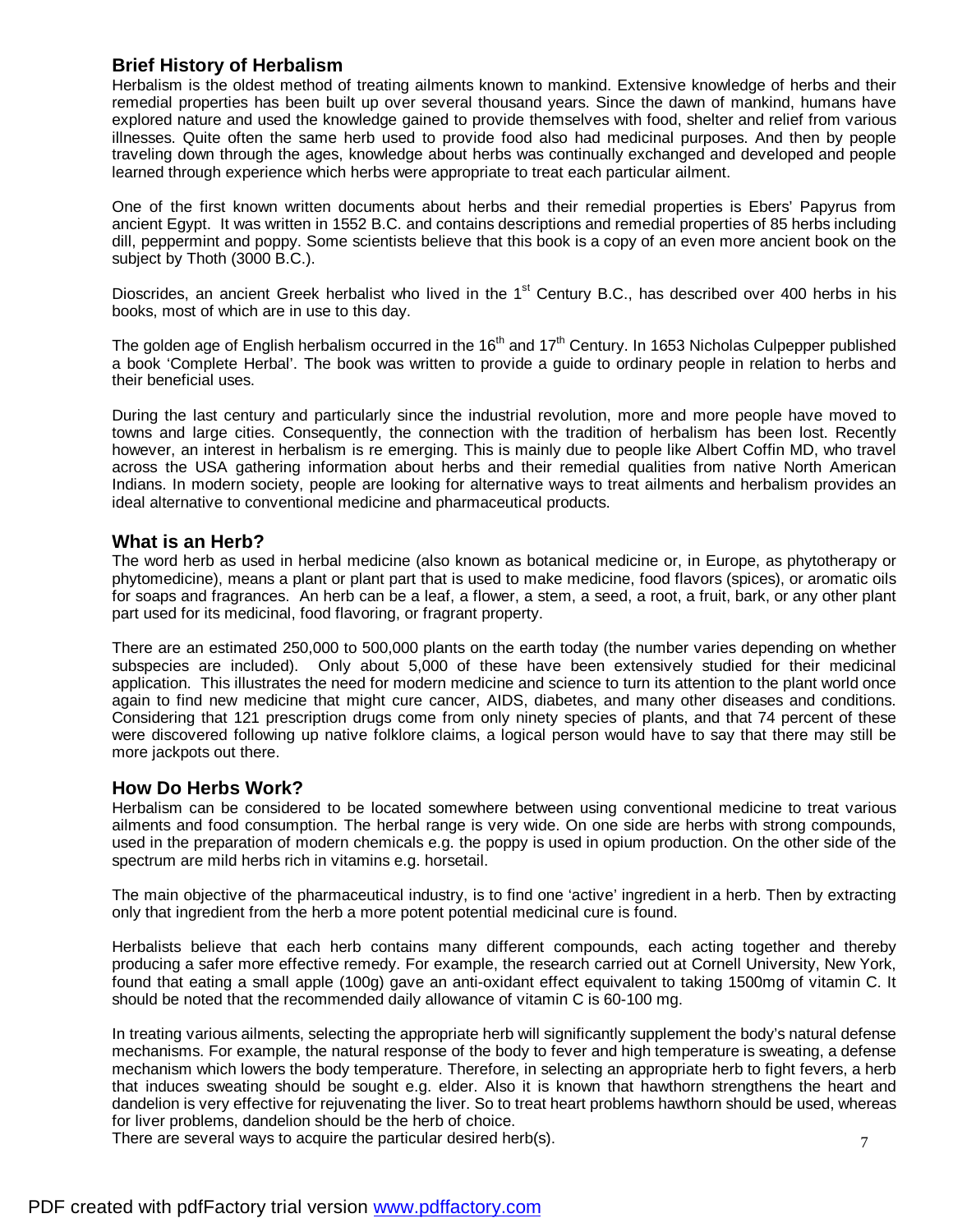#### **Brief History of Herbalism**

Herbalism is the oldest method of treating ailments known to mankind. Extensive knowledge of herbs and their remedial properties has been built up over several thousand years. Since the dawn of mankind, humans have explored nature and used the knowledge gained to provide themselves with food, shelter and relief from various illnesses. Quite often the same herb used to provide food also had medicinal purposes. And then by people traveling down through the ages, knowledge about herbs was continually exchanged and developed and people learned through experience which herbs were appropriate to treat each particular ailment.

One of the first known written documents about herbs and their remedial properties is Ebers' Papyrus from ancient Egypt. It was written in 1552 B.C. and contains descriptions and remedial properties of 85 herbs including dill, peppermint and poppy. Some scientists believe that this book is a copy of an even more ancient book on the subject by Thoth (3000 B.C.).

Dioscrides, an ancient Greek herbalist who lived in the 1<sup>st</sup> Century B.C., has described over 400 herbs in his books, most of which are in use to this day.

The golden age of English herbalism occurred in the  $16<sup>th</sup>$  and  $17<sup>th</sup>$  Century. In 1653 Nicholas Culpepper published a book 'Complete Herbal'. The book was written to provide a guide to ordinary people in relation to herbs and their beneficial uses.

During the last century and particularly since the industrial revolution, more and more people have moved to towns and large cities. Consequently, the connection with the tradition of herbalism has been lost. Recently however, an interest in herbalism is re emerging. This is mainly due to people like Albert Coffin MD, who travel across the USA gathering information about herbs and their remedial qualities from native North American Indians. In modern society, people are looking for alternative ways to treat ailments and herbalism provides an ideal alternative to conventional medicine and pharmaceutical products.

#### **What is an Herb?**

The word herb as used in herbal medicine (also known as botanical medicine or, in Europe, as phytotherapy or phytomedicine), means a plant or plant part that is used to make medicine, food flavors (spices), or aromatic oils for soaps and fragrances. An herb can be a leaf, a flower, a stem, a seed, a root, a fruit, bark, or any other plant part used for its medicinal, food flavoring, or fragrant property.

There are an estimated 250,000 to 500,000 plants on the earth today (the number varies depending on whether subspecies are included). Only about 5,000 of these have been extensively studied for their medicinal application. This illustrates the need for modern medicine and science to turn its attention to the plant world once again to find new medicine that might cure cancer, AIDS, diabetes, and many other diseases and conditions. Considering that 121 prescription drugs come from only ninety species of plants, and that 74 percent of these were discovered following up native folklore claims, a logical person would have to say that there may still be more jackpots out there.

#### **How Do Herbs Work?**

Herbalism can be considered to be located somewhere between using conventional medicine to treat various ailments and food consumption. The herbal range is very wide. On one side are herbs with strong compounds, used in the preparation of modern chemicals e.g. the poppy is used in opium production. On the other side of the spectrum are mild herbs rich in vitamins e.g. horsetail.

The main objective of the pharmaceutical industry, is to find one 'active' ingredient in a herb. Then by extracting only that ingredient from the herb a more potent potential medicinal cure is found.

Herbalists believe that each herb contains many different compounds, each acting together and thereby producing a safer more effective remedy. For example, the research carried out at Cornell University, New York, found that eating a small apple (100g) gave an anti-oxidant effect equivalent to taking 1500mg of vitamin C. It should be noted that the recommended daily allowance of vitamin C is 60-100 mg.

In treating various ailments, selecting the appropriate herb will significantly supplement the body's natural defense mechanisms. For example, the natural response of the body to fever and high temperature is sweating, a defense mechanism which lowers the body temperature. Therefore, in selecting an appropriate herb to fight fevers, a herb that induces sweating should be sought e.g. elder. Also it is known that hawthorn strengthens the heart and dandelion is very effective for rejuvenating the liver. So to treat heart problems hawthorn should be used, whereas for liver problems, dandelion should be the herb of choice.

There are several ways to acquire the particular desired herb(s).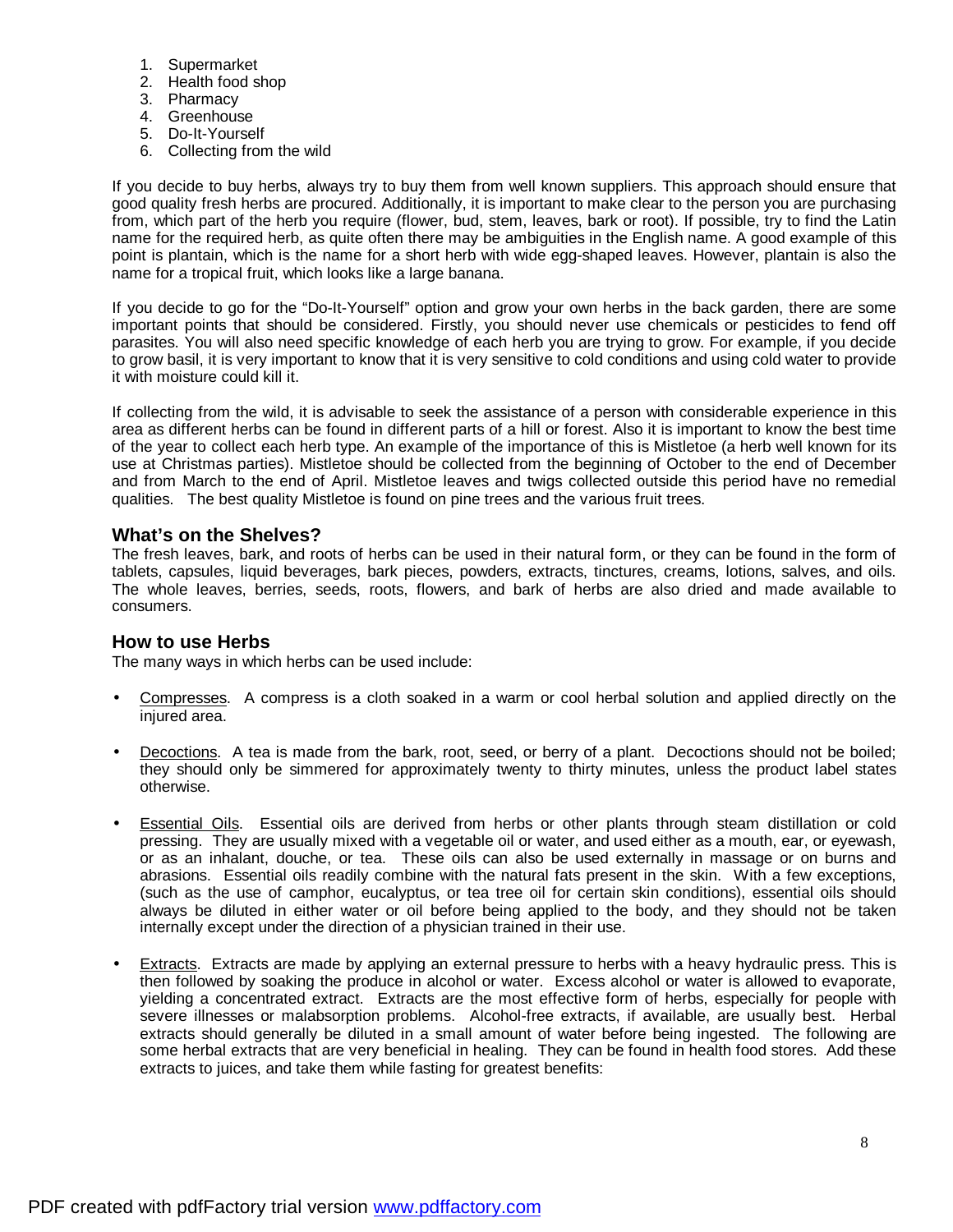- 1. Supermarket
- 2. Health food shop
- 3. Pharmacy
- 4. Greenhouse
- 5. Do-It-Yourself
- 6. Collecting from the wild

If you decide to buy herbs, always try to buy them from well known suppliers. This approach should ensure that good quality fresh herbs are procured. Additionally, it is important to make clear to the person you are purchasing from, which part of the herb you require (flower, bud, stem, leaves, bark or root). If possible, try to find the Latin name for the required herb, as quite often there may be ambiguities in the English name. A good example of this point is plantain, which is the name for a short herb with wide egg-shaped leaves. However, plantain is also the name for a tropical fruit, which looks like a large banana.

If you decide to go for the "Do-It-Yourself" option and grow your own herbs in the back garden, there are some important points that should be considered. Firstly, you should never use chemicals or pesticides to fend off parasites. You will also need specific knowledge of each herb you are trying to grow. For example, if you decide to grow basil, it is very important to know that it is very sensitive to cold conditions and using cold water to provide it with moisture could kill it.

If collecting from the wild, it is advisable to seek the assistance of a person with considerable experience in this area as different herbs can be found in different parts of a hill or forest. Also it is important to know the best time of the year to collect each herb type. An example of the importance of this is Mistletoe (a herb well known for its use at Christmas parties). Mistletoe should be collected from the beginning of October to the end of December and from March to the end of April. Mistletoe leaves and twigs collected outside this period have no remedial qualities. The best quality Mistletoe is found on pine trees and the various fruit trees.

#### **What's on the Shelves?**

The fresh leaves, bark, and roots of herbs can be used in their natural form, or they can be found in the form of tablets, capsules, liquid beverages, bark pieces, powders, extracts, tinctures, creams, lotions, salves, and oils. The whole leaves, berries, seeds, roots, flowers, and bark of herbs are also dried and made available to consumers.

#### **How to use Herbs**

The many ways in which herbs can be used include:

- Compresses. A compress is a cloth soaked in a warm or cool herbal solution and applied directly on the injured area.
- Decoctions. A tea is made from the bark, root, seed, or berry of a plant. Decoctions should not be boiled; they should only be simmered for approximately twenty to thirty minutes, unless the product label states otherwise.
- Essential Oils. Essential oils are derived from herbs or other plants through steam distillation or cold pressing. They are usually mixed with a vegetable oil or water, and used either as a mouth, ear, or eyewash, or as an inhalant, douche, or tea. These oils can also be used externally in massage or on burns and abrasions. Essential oils readily combine with the natural fats present in the skin. With a few exceptions, (such as the use of camphor, eucalyptus, or tea tree oil for certain skin conditions), essential oils should always be diluted in either water or oil before being applied to the body, and they should not be taken internally except under the direction of a physician trained in their use.
- Extracts. Extracts are made by applying an external pressure to herbs with a heavy hydraulic press. This is then followed by soaking the produce in alcohol or water. Excess alcohol or water is allowed to evaporate, yielding a concentrated extract. Extracts are the most effective form of herbs, especially for people with severe illnesses or malabsorption problems. Alcohol-free extracts, if available, are usually best. Herbal extracts should generally be diluted in a small amount of water before being ingested. The following are some herbal extracts that are very beneficial in healing. They can be found in health food stores. Add these extracts to juices, and take them while fasting for greatest benefits: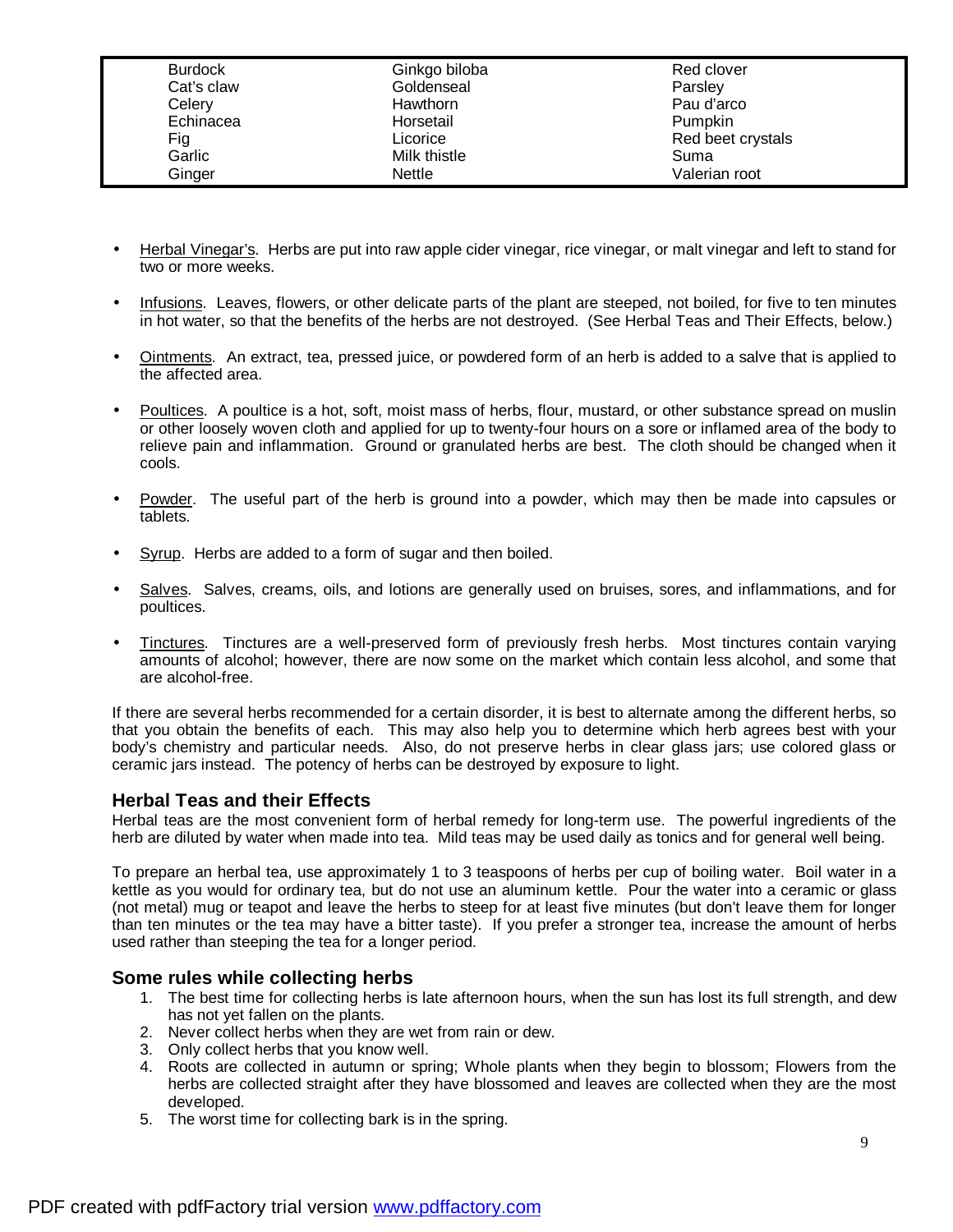| <b>Burdock</b> | Ginkgo biloba   | Red clover        |
|----------------|-----------------|-------------------|
| Cat's claw     | Goldenseal      | Parsley           |
| Celery         | <b>Hawthorn</b> | Pau d'arco        |
| Echinacea      | Horsetail       | Pumpkin           |
| Fig            | Licorice        | Red beet crystals |
| Garlic         | Milk thistle    | Suma              |
| Ginger         | Nettle          | Valerian root     |

- Herbal Vinegar's. Herbs are put into raw apple cider vinegar, rice vinegar, or malt vinegar and left to stand for two or more weeks.
- Infusions. Leaves, flowers, or other delicate parts of the plant are steeped, not boiled, for five to ten minutes in hot water, so that the benefits of the herbs are not destroyed. (See Herbal Teas and Their Effects, below.)
- Ointments. An extract, tea, pressed juice, or powdered form of an herb is added to a salve that is applied to the affected area.
- Poultices. A poultice is a hot, soft, moist mass of herbs, flour, mustard, or other substance spread on muslin or other loosely woven cloth and applied for up to twenty-four hours on a sore or inflamed area of the body to relieve pain and inflammation. Ground or granulated herbs are best. The cloth should be changed when it cools.
- Powder. The useful part of the herb is ground into a powder, which may then be made into capsules or tablets.
- Syrup. Herbs are added to a form of sugar and then boiled.
- Salves. Salves, creams, oils, and lotions are generally used on bruises, sores, and inflammations, and for poultices.
- Tinctures. Tinctures are a well-preserved form of previously fresh herbs. Most tinctures contain varying amounts of alcohol; however, there are now some on the market which contain less alcohol, and some that are alcohol-free.

If there are several herbs recommended for a certain disorder, it is best to alternate among the different herbs, so that you obtain the benefits of each. This may also help you to determine which herb agrees best with your body's chemistry and particular needs. Also, do not preserve herbs in clear glass jars; use colored glass or ceramic jars instead. The potency of herbs can be destroyed by exposure to light.

#### **Herbal Teas and their Effects**

Herbal teas are the most convenient form of herbal remedy for long-term use. The powerful ingredients of the herb are diluted by water when made into tea. Mild teas may be used daily as tonics and for general well being.

To prepare an herbal tea, use approximately 1 to 3 teaspoons of herbs per cup of boiling water. Boil water in a kettle as you would for ordinary tea, but do not use an aluminum kettle. Pour the water into a ceramic or glass (not metal) mug or teapot and leave the herbs to steep for at least five minutes (but don't leave them for longer than ten minutes or the tea may have a bitter taste). If you prefer a stronger tea, increase the amount of herbs used rather than steeping the tea for a longer period.

#### **Some rules while collecting herbs**

- 1. The best time for collecting herbs is late afternoon hours, when the sun has lost its full strength, and dew has not yet fallen on the plants.
- 2. Never collect herbs when they are wet from rain or dew.
- 3. Only collect herbs that you know well.
- 4. Roots are collected in autumn or spring; Whole plants when they begin to blossom; Flowers from the herbs are collected straight after they have blossomed and leaves are collected when they are the most developed.
- 5. The worst time for collecting bark is in the spring.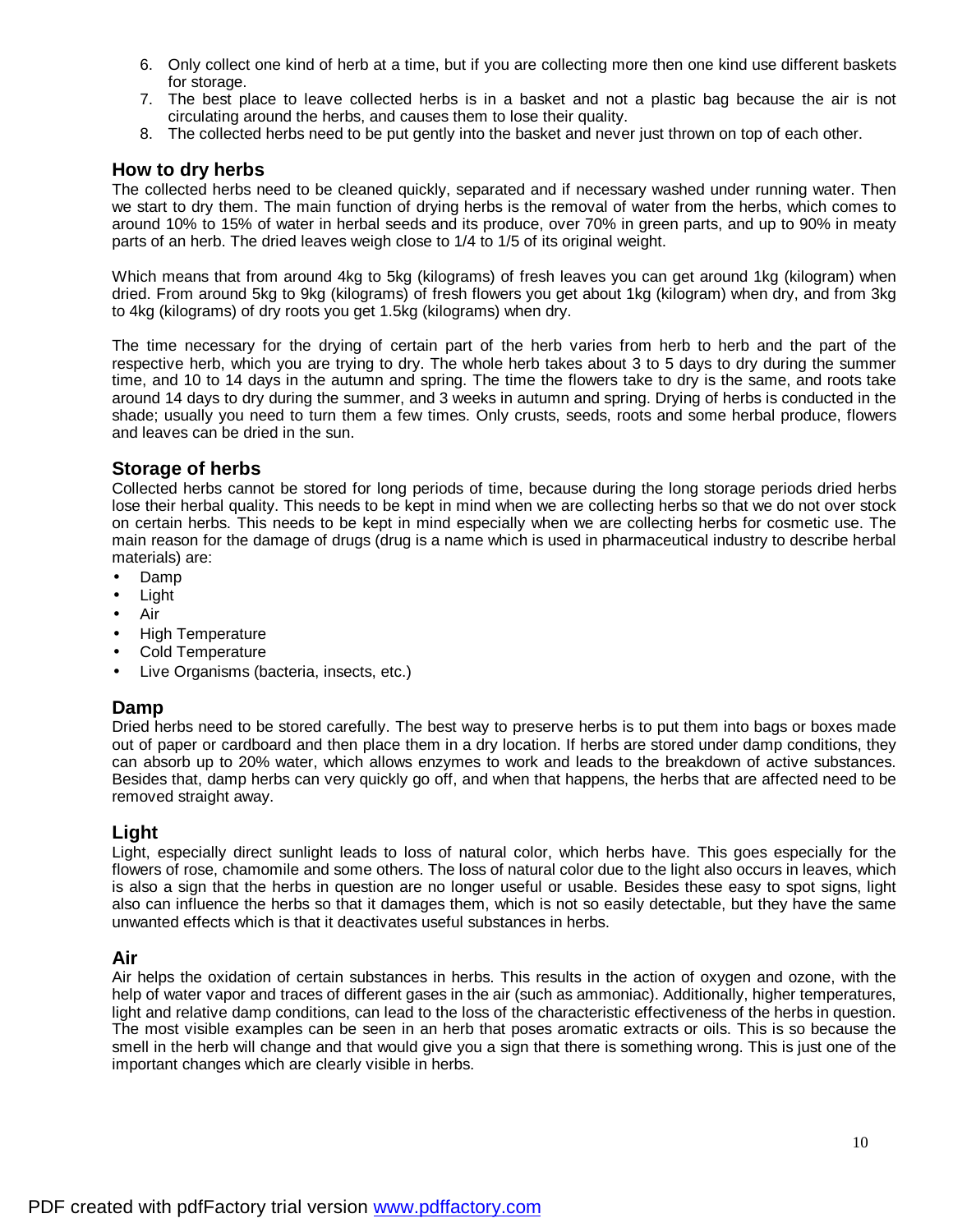- 6. Only collect one kind of herb at a time, but if you are collecting more then one kind use different baskets for storage.
- 7. The best place to leave collected herbs is in a basket and not a plastic bag because the air is not circulating around the herbs, and causes them to lose their quality.
- 8. The collected herbs need to be put gently into the basket and never just thrown on top of each other.

#### **How to dry herbs**

The collected herbs need to be cleaned quickly, separated and if necessary washed under running water. Then we start to dry them. The main function of drying herbs is the removal of water from the herbs, which comes to around 10% to 15% of water in herbal seeds and its produce, over 70% in green parts, and up to 90% in meaty parts of an herb. The dried leaves weigh close to 1/4 to 1/5 of its original weight.

Which means that from around 4kg to 5kg (kilograms) of fresh leaves you can get around 1kg (kilogram) when dried. From around 5kg to 9kg (kilograms) of fresh flowers you get about 1kg (kilogram) when dry, and from 3kg to 4kg (kilograms) of dry roots you get 1.5kg (kilograms) when dry.

The time necessary for the drying of certain part of the herb varies from herb to herb and the part of the respective herb, which you are trying to dry. The whole herb takes about 3 to 5 days to dry during the summer time, and 10 to 14 days in the autumn and spring. The time the flowers take to dry is the same, and roots take around 14 days to dry during the summer, and 3 weeks in autumn and spring. Drying of herbs is conducted in the shade; usually you need to turn them a few times. Only crusts, seeds, roots and some herbal produce, flowers and leaves can be dried in the sun.

#### **Storage of herbs**

Collected herbs cannot be stored for long periods of time, because during the long storage periods dried herbs lose their herbal quality. This needs to be kept in mind when we are collecting herbs so that we do not over stock on certain herbs. This needs to be kept in mind especially when we are collecting herbs for cosmetic use. The main reason for the damage of drugs (drug is a name which is used in pharmaceutical industry to describe herbal materials) are:

- Damp
- Light
- Air
- High Temperature
- Cold Temperature
- Live Organisms (bacteria, insects, etc.)

#### **Damp**

Dried herbs need to be stored carefully. The best way to preserve herbs is to put them into bags or boxes made out of paper or cardboard and then place them in a dry location. If herbs are stored under damp conditions, they can absorb up to 20% water, which allows enzymes to work and leads to the breakdown of active substances. Besides that, damp herbs can very quickly go off, and when that happens, the herbs that are affected need to be removed straight away.

#### **Light**

Light, especially direct sunlight leads to loss of natural color, which herbs have. This goes especially for the flowers of rose, chamomile and some others. The loss of natural color due to the light also occurs in leaves, which is also a sign that the herbs in question are no longer useful or usable. Besides these easy to spot signs, light also can influence the herbs so that it damages them, which is not so easily detectable, but they have the same unwanted effects which is that it deactivates useful substances in herbs.

#### **Air**

Air helps the oxidation of certain substances in herbs. This results in the action of oxygen and ozone, with the help of water vapor and traces of different gases in the air (such as ammoniac). Additionally, higher temperatures, light and relative damp conditions, can lead to the loss of the characteristic effectiveness of the herbs in question. The most visible examples can be seen in an herb that poses aromatic extracts or oils. This is so because the smell in the herb will change and that would give you a sign that there is something wrong. This is just one of the important changes which are clearly visible in herbs.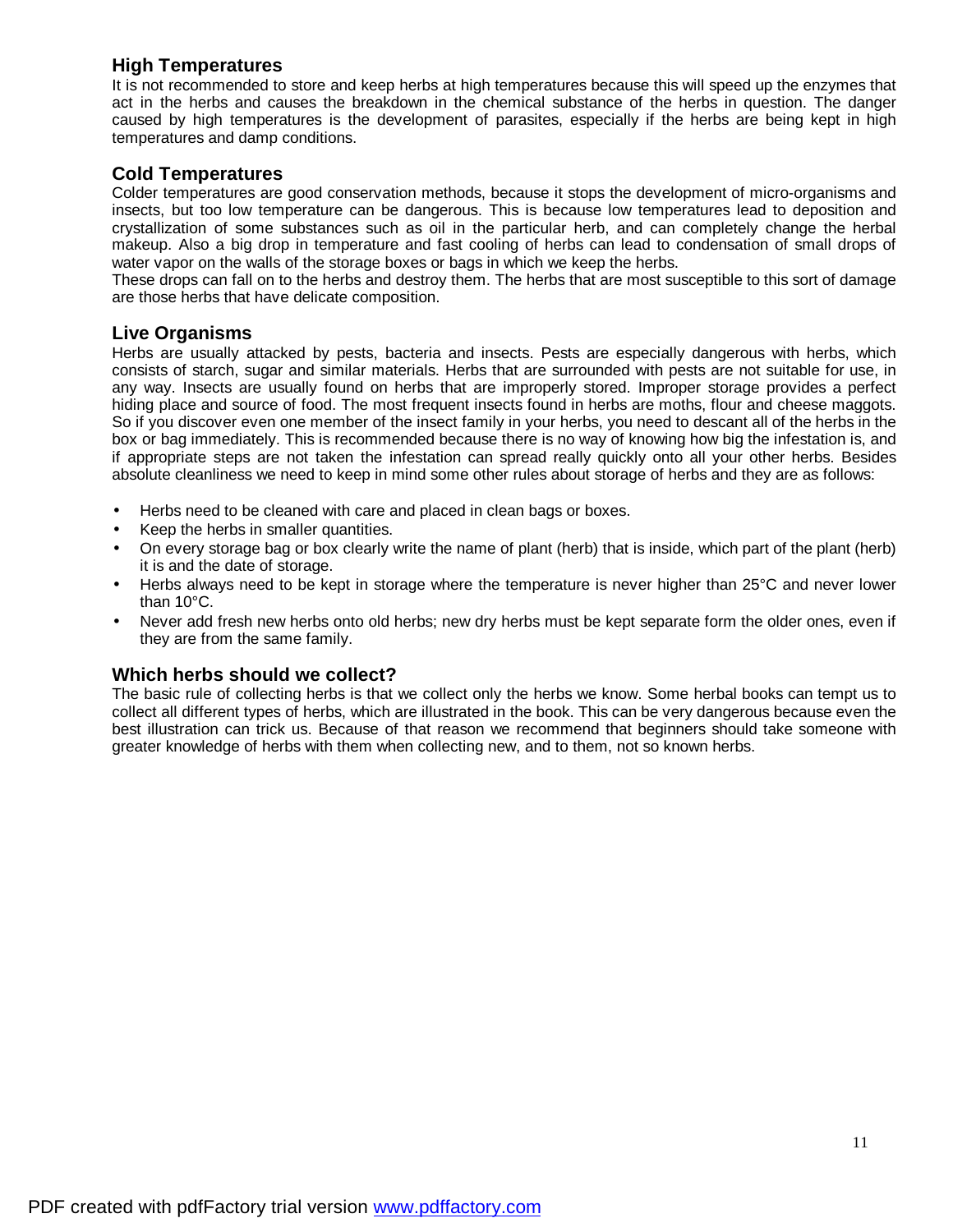#### **High Temperatures**

It is not recommended to store and keep herbs at high temperatures because this will speed up the enzymes that act in the herbs and causes the breakdown in the chemical substance of the herbs in question. The danger caused by high temperatures is the development of parasites, especially if the herbs are being kept in high temperatures and damp conditions.

#### **Cold Temperatures**

Colder temperatures are good conservation methods, because it stops the development of micro-organisms and insects, but too low temperature can be dangerous. This is because low temperatures lead to deposition and crystallization of some substances such as oil in the particular herb, and can completely change the herbal makeup. Also a big drop in temperature and fast cooling of herbs can lead to condensation of small drops of water vapor on the walls of the storage boxes or bags in which we keep the herbs.

These drops can fall on to the herbs and destroy them. The herbs that are most susceptible to this sort of damage are those herbs that have delicate composition.

#### **Live Organisms**

Herbs are usually attacked by pests, bacteria and insects. Pests are especially dangerous with herbs, which consists of starch, sugar and similar materials. Herbs that are surrounded with pests are not suitable for use, in any way. Insects are usually found on herbs that are improperly stored. Improper storage provides a perfect hiding place and source of food. The most frequent insects found in herbs are moths, flour and cheese maggots. So if you discover even one member of the insect family in your herbs, you need to descant all of the herbs in the box or bag immediately. This is recommended because there is no way of knowing how big the infestation is, and if appropriate steps are not taken the infestation can spread really quickly onto all your other herbs. Besides absolute cleanliness we need to keep in mind some other rules about storage of herbs and they are as follows:

- Herbs need to be cleaned with care and placed in clean bags or boxes.
- Keep the herbs in smaller quantities.
- On every storage bag or box clearly write the name of plant (herb) that is inside, which part of the plant (herb) it is and the date of storage.
- Herbs always need to be kept in storage where the temperature is never higher than 25°C and never lower than 10°C.
- Never add fresh new herbs onto old herbs; new dry herbs must be kept separate form the older ones, even if they are from the same family.

#### **Which herbs should we collect?**

The basic rule of collecting herbs is that we collect only the herbs we know. Some herbal books can tempt us to collect all different types of herbs, which are illustrated in the book. This can be very dangerous because even the best illustration can trick us. Because of that reason we recommend that beginners should take someone with greater knowledge of herbs with them when collecting new, and to them, not so known herbs.